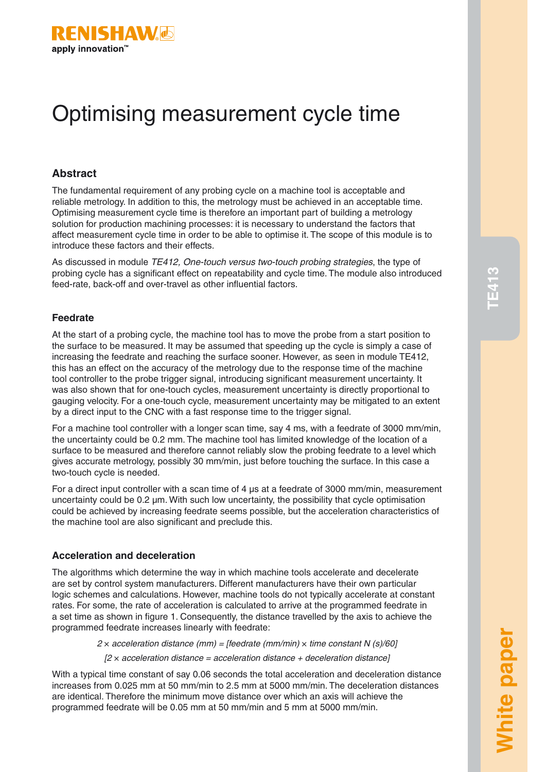

# Optimising measurement cycle time

### **Abstract**

The fundamental requirement of any probing cycle on a machine tool is acceptable and reliable metrology. In addition to this, the metrology must be achieved in an acceptable time. Optimising measurement cycle time is therefore an important part of building a metrology solution for production machining processes: it is necessary to understand the factors that affect measurement cycle time in order to be able to optimise it. The scope of this module is to introduce these factors and their effects.

As discussed in module *TE412, One-touch versus two-touch probing strategies*, the type of probing cycle has a significant effect on repeatability and cycle time. The module also introduced feed-rate, back-off and over-travel as other influential factors.

### **Feedrate**

At the start of a probing cycle, the machine tool has to move the probe from a start position to the surface to be measured. It may be assumed that speeding up the cycle is simply a case of increasing the feedrate and reaching the surface sooner. However, as seen in module TE412, this has an effect on the accuracy of the metrology due to the response time of the machine tool controller to the probe trigger signal, introducing significant measurement uncertainty. It was also shown that for one-touch cycles, measurement uncertainty is directly proportional to gauging velocity. For a one-touch cycle, measurement uncertainty may be mitigated to an extent by a direct input to the CNC with a fast response time to the trigger signal.

For a machine tool controller with a longer scan time, say 4 ms, with a feedrate of 3000 mm/min, the uncertainty could be 0.2 mm. The machine tool has limited knowledge of the location of a surface to be measured and therefore cannot reliably slow the probing feedrate to a level which gives accurate metrology, possibly 30 mm/min, just before touching the surface. In this case a two-touch cycle is needed.

For a direct input controller with a scan time of 4 μs at a feedrate of 3000 mm/min, measurement uncertainty could be 0.2 μm. With such low uncertainty, the possibility that cycle optimisation could be achieved by increasing feedrate seems possible, but the acceleration characteristics of the machine tool are also significant and preclude this.

### **Acceleration and deceleration**

The algorithms which determine the way in which machine tools accelerate and decelerate are set by control system manufacturers. Different manufacturers have their own particular logic schemes and calculations. However, machine tools do not typically accelerate at constant rates. For some, the rate of acceleration is calculated to arrive at the programmed feedrate in a set time as shown in figure 1. Consequently, the distance travelled by the axis to achieve the programmed feedrate increases linearly with feedrate:

*2* × *acceleration distance (mm) = [feedrate (mm/min)* × *time constant N (s)/60]*

*[2* × *acceleration distance = acceleration distance + deceleration distance]*

With a typical time constant of say 0.06 seconds the total acceleration and deceleration distance increases from 0.025 mm at 50 mm/min to 2.5 mm at 5000 mm/min. The deceleration distances are identical. Therefore the minimum move distance over which an axis will achieve the programmed feedrate will be 0.05 mm at 50 mm/min and 5 mm at 5000 mm/min.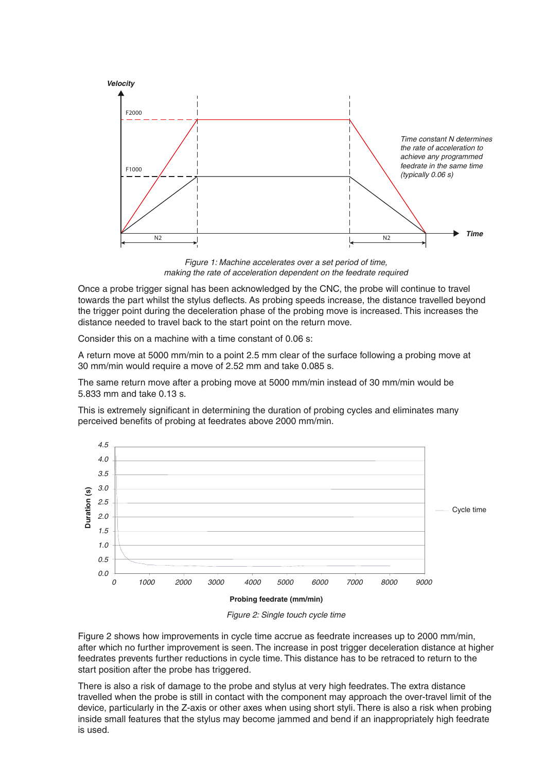

*Figure 1: Machine accelerates over a set period of time, making the rate of acceleration dependent on the feedrate required*

Once a probe trigger signal has been acknowledged by the CNC, the probe will continue to travel towards the part whilst the stylus deflects. As probing speeds increase, the distance travelled beyond the trigger point during the deceleration phase of the probing move is increased. This increases the distance needed to travel back to the start point on the return move.

Consider this on a machine with a time constant of 0.06 s:

A return move at 5000 mm/min to a point 2.5 mm clear of the surface following a probing move at 30 mm/min would require a move of 2.52 mm and take 0.085 s.

The same return move after a probing move at 5000 mm/min instead of 30 mm/min would be 5.833 mm and take 0.13 s.

This is extremely significant in determining the duration of probing cycles and eliminates many perceived benefits of probing at feedrates above 2000 mm/min.



*Figure 2: Single touch cycle time*

Figure 2 shows how improvements in cycle time accrue as feedrate increases up to 2000 mm/min, after which no further improvement is seen. The increase in post trigger deceleration distance at higher feedrates prevents further reductions in cycle time. This distance has to be retraced to return to the start position after the probe has triggered.

There is also a risk of damage to the probe and stylus at very high feedrates. The extra distance travelled when the probe is still in contact with the component may approach the over-travel limit of the device, particularly in the Z-axis or other axes when using short styli. There is also a risk when probing inside small features that the stylus may become jammed and bend if an inappropriately high feedrate is used.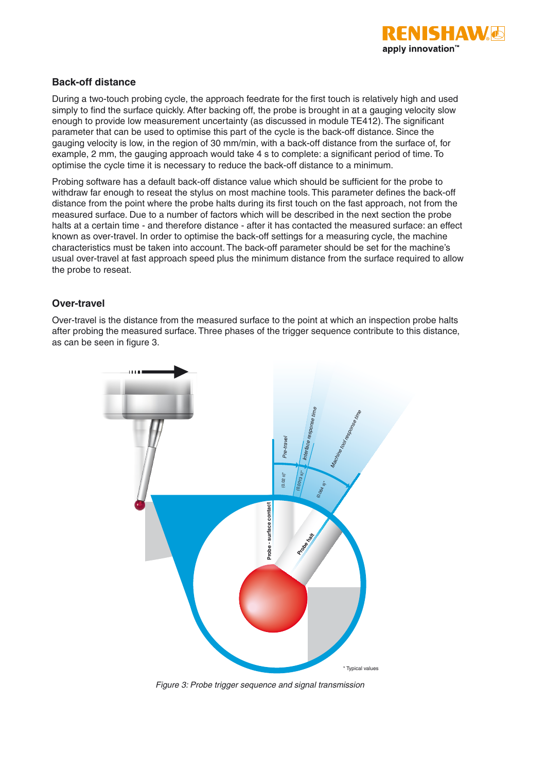

### **Back-off distance**

During a two-touch probing cycle, the approach feedrate for the first touch is relatively high and used simply to find the surface quickly. After backing off, the probe is brought in at a gauging velocity slow enough to provide low measurement uncertainty (as discussed in module TE412). The significant parameter that can be used to optimise this part of the cycle is the back-off distance. Since the gauging velocity is low, in the region of 30 mm/min, with a back-off distance from the surface of, for example, 2 mm, the gauging approach would take 4 s to complete: a significant period of time. To optimise the cycle time it is necessary to reduce the back-off distance to a minimum.

Probing software has a default back-off distance value which should be sufficient for the probe to withdraw far enough to reseat the stylus on most machine tools. This parameter defines the back-off distance from the point where the probe halts during its first touch on the fast approach, not from the measured surface. Due to a number of factors which will be described in the next section the probe halts at a certain time - and therefore distance - after it has contacted the measured surface: an effect known as over-travel. In order to optimise the back-off settings for a measuring cycle, the machine characteristics must be taken into account. The back-off parameter should be set for the machine's usual over-travel at fast approach speed plus the minimum distance from the surface required to allow the probe to reseat.

### **Over-travel**

Over-travel is the distance from the measured surface to the point at which an inspection probe halts after probing the measured surface. Three phases of the trigger sequence contribute to this distance, as can be seen in figure 3.

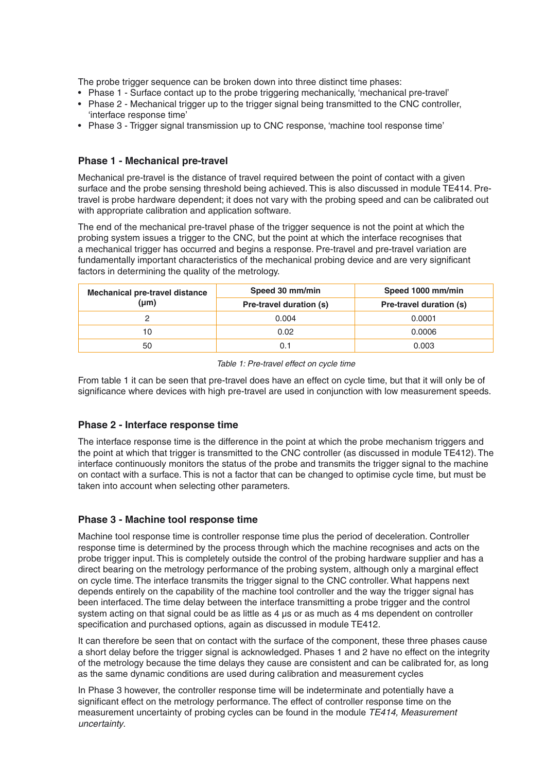The probe trigger sequence can be broken down into three distinct time phases:

- Phase 1 Surface contact up to the probe triggering mechanically, 'mechanical pre-travel'
- Phase 2 Mechanical trigger up to the trigger signal being transmitted to the CNC controller, 'interface response time'
- Phase 3 Trigger signal transmission up to CNC response, 'machine tool response time'

### **Phase 1 - Mechanical pre-travel**

Mechanical pre-travel is the distance of travel required between the point of contact with a given surface and the probe sensing threshold being achieved. This is also discussed in module TE414. Pretravel is probe hardware dependent; it does not vary with the probing speed and can be calibrated out with appropriate calibration and application software.

The end of the mechanical pre-travel phase of the trigger sequence is not the point at which the probing system issues a trigger to the CNC, but the point at which the interface recognises that a mechanical trigger has occurred and begins a response. Pre-travel and pre-travel variation are fundamentally important characteristics of the mechanical probing device and are very significant factors in determining the quality of the metrology.

| <b>Mechanical pre-travel distance</b><br>$(\mu m)$ | Speed 30 mm/min         | Speed 1000 mm/min       |
|----------------------------------------------------|-------------------------|-------------------------|
|                                                    | Pre-travel duration (s) | Pre-travel duration (s) |
|                                                    | 0.004                   | 0.0001                  |
| 10                                                 | 0.02                    | 0.0006                  |
| 50                                                 |                         | 0.003                   |

#### *Table 1: Pre-travel effect on cycle time*

From table 1 it can be seen that pre-travel does have an effect on cycle time, but that it will only be of significance where devices with high pre-travel are used in conjunction with low measurement speeds.

### **Phase 2 - Interface response time**

The interface response time is the difference in the point at which the probe mechanism triggers and the point at which that trigger is transmitted to the CNC controller (as discussed in module TE412). The interface continuously monitors the status of the probe and transmits the trigger signal to the machine on contact with a surface. This is not a factor that can be changed to optimise cycle time, but must be taken into account when selecting other parameters.

### **Phase 3 - Machine tool response time**

Machine tool response time is controller response time plus the period of deceleration. Controller response time is determined by the process through which the machine recognises and acts on the probe trigger input. This is completely outside the control of the probing hardware supplier and has a direct bearing on the metrology performance of the probing system, although only a marginal effect on cycle time. The interface transmits the trigger signal to the CNC controller. What happens next depends entirely on the capability of the machine tool controller and the way the trigger signal has been interfaced. The time delay between the interface transmitting a probe trigger and the control system acting on that signal could be as little as 4 µs or as much as 4 ms dependent on controller specification and purchased options, again as discussed in module TE412.

It can therefore be seen that on contact with the surface of the component, these three phases cause a short delay before the trigger signal is acknowledged. Phases 1 and 2 have no effect on the integrity of the metrology because the time delays they cause are consistent and can be calibrated for, as long as the same dynamic conditions are used during calibration and measurement cycles

In Phase 3 however, the controller response time will be indeterminate and potentially have a significant effect on the metrology performance. The effect of controller response time on the measurement uncertainty of probing cycles can be found in the module *TE414, Measurement uncertainty*.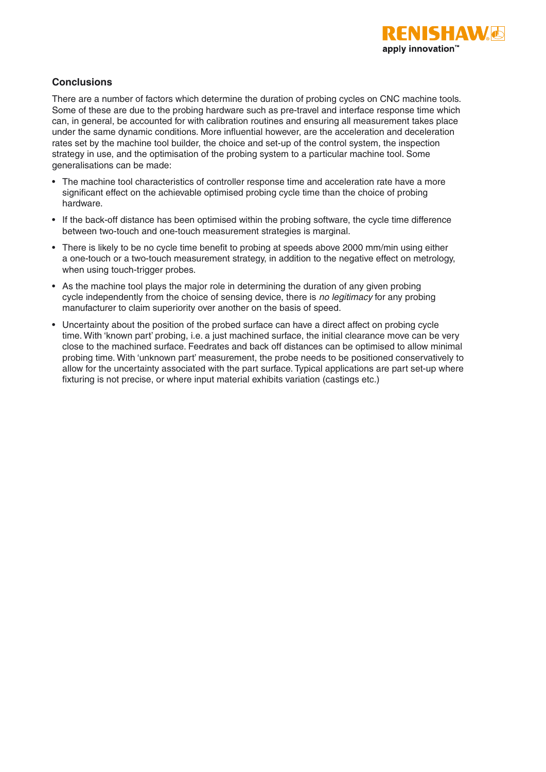

### **Conclusions**

There are a number of factors which determine the duration of probing cycles on CNC machine tools. Some of these are due to the probing hardware such as pre-travel and interface response time which can, in general, be accounted for with calibration routines and ensuring all measurement takes place under the same dynamic conditions. More influential however, are the acceleration and deceleration rates set by the machine tool builder, the choice and set-up of the control system, the inspection strategy in use, and the optimisation of the probing system to a particular machine tool. Some generalisations can be made:

- The machine tool characteristics of controller response time and acceleration rate have a more significant effect on the achievable optimised probing cycle time than the choice of probing hardware.
- If the back-off distance has been optimised within the probing software, the cycle time difference between two-touch and one-touch measurement strategies is marginal.
- There is likely to be no cycle time benefit to probing at speeds above 2000 mm/min using either a one-touch or a two-touch measurement strategy, in addition to the negative effect on metrology, when using touch-trigger probes.
- As the machine tool plays the major role in determining the duration of any given probing cycle independently from the choice of sensing device, there is *no legitimacy* for any probing manufacturer to claim superiority over another on the basis of speed.
- Uncertainty about the position of the probed surface can have a direct affect on probing cycle time. With 'known part' probing, i.e. a just machined surface, the initial clearance move can be very close to the machined surface. Feedrates and back off distances can be optimised to allow minimal probing time. With 'unknown part' measurement, the probe needs to be positioned conservatively to allow for the uncertainty associated with the part surface. Typical applications are part set-up where fixturing is not precise, or where input material exhibits variation (castings etc.)